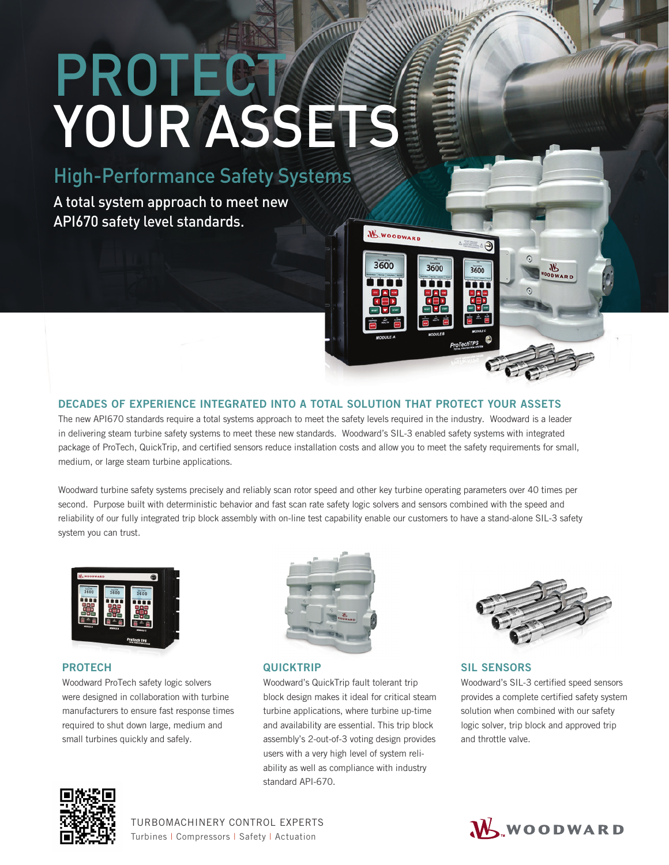# **PROTECT** YOUR ASSETS

High-Performance Safety Systems

A total system approach to meet new API670 safety level standards.

# DECADES OF EXPERIENCE INTEGRATED INTO A TOTAL SOLUTION THAT PROTECT YOUR ASSETS

The new API670 standards require a total systems approach to meet the safety levels required in the industry. Woodward is a leader in delivering steam turbine safety systems to meet these new standards. Woodward's SIL-3 enabled safety systems with integrated package of ProTech, QuickTrip, and certified sensors reduce installation costs and allow you to meet the safety requirements for small, medium, or large steam turbine applications.

**W.WOODWARD** 

3600

3600

3600

Woodward turbine safety systems precisely and reliably scan rotor speed and other key turbine operating parameters over 40 times per second. Purpose built with deterministic behavior and fast scan rate safety logic solvers and sensors combined with the speed and reliability of our fully integrated trip block assembly with on-line test capability enable our customers to have a stand-alone SIL-3 safety system you can trust.



# PROTECH

Woodward ProTech safety logic solvers were designed in collaboration with turbine manufacturers to ensure fast response times required to shut down large, medium and small turbines quickly and safely.



# **QUICKTRIP**

Woodward's QuickTrip fault tolerant trip block design makes it ideal for critical steam turbine applications, where turbine up-time and availability are essential. This trip block assembly's 2-out-of-3 voting design provides users with a very high level of system reliability as well as compliance with industry standard API-670.



ODWARD

SIL SENSORS Woodward's SIL-3 certified speed sensors provides a complete certified safety system solution when combined with our safety logic solver, trip block and approved trip and throttle valve.



TURBOMACHINERY CONTROL EXPERTS Turbines | Compressors | Safety | Actuation